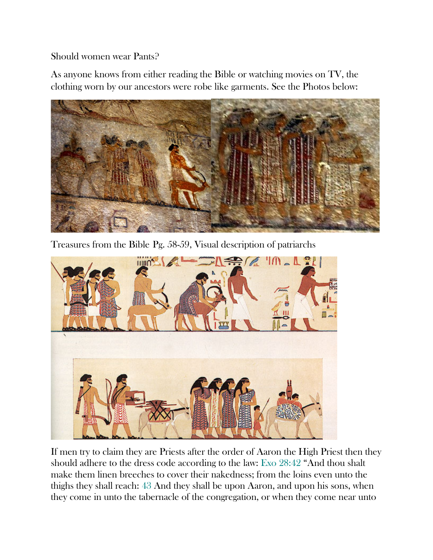Should women wear Pants?

As anyone knows from either reading the Bible or watching movies on TV, the clothing worn by our ancestors were robe like garments. See the Photos below:



Treasures from the Bible Pg. 58-59, Visual description of patriarchs



If men try to claim they are Priests after the order of Aaron the High Priest then they should adhere to the dress code according to the law: Exo 28:42 "And thou shalt make them linen breeches to cover their nakedness; from the loins even unto the thighs they shall reach: 43 And they shall be upon Aaron, and upon his sons, when they come in unto the tabernacle of the congregation, or when they come near unto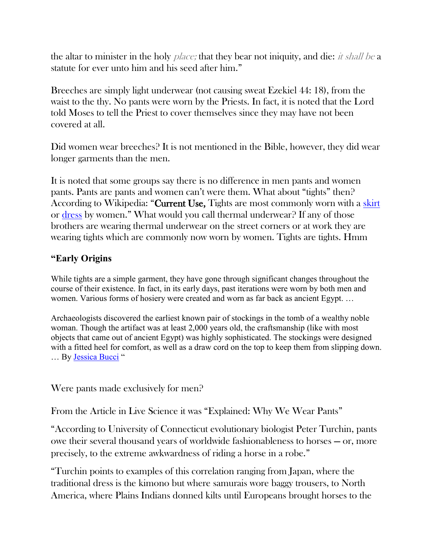the altar to minister in the holy *place*; that they bear not iniquity, and die: *it shall be a* statute for ever unto him and his seed after him."

Breeches are simply light underwear (not causing sweat Ezekiel 44: 18), from the waist to the thy. No pants were worn by the Priests. In fact, it is noted that the Lord told Moses to tell the Priest to cover themselves since they may have not been covered at all.

Did women wear breeches? It is not mentioned in the Bible, however, they did wear longer garments than the men.

It is noted that some groups say there is no difference in men pants and women pants. Pants are pants and women can't were them. What about "tights" then? According to Wikipedia: "Current Use, Tights are most commonly worn with a [skirt](https://en.wikipedia.org/wiki/Skirt) or [dress](https://en.wikipedia.org/wiki/Dress) by women." What would you call thermal underwear? If any of those brothers are wearing thermal underwear on the street corners or at work they are wearing tights which are commonly now worn by women. Tights are tights. Hmm

## **"Early Origins**

While tights are a simple garment, they have gone through significant changes throughout the course of their existence. In fact, in its early days, past iterations were worn by both men and women. Various forms of hosiery were created and worn as far back as ancient Egypt. …

Archaeologists discovered the earliest known pair of stockings in the tomb of a wealthy noble woman. Though the artifact was at least 2,000 years old, the craftsmanship (like with most objects that came out of ancient Egypt) was highly sophisticated. The stockings were designed with a fitted heel for comfort, as well as a draw cord on the top to keep them from slipping down. … By [Jessica Bucci](https://startupfashion.com/author/jessica-bucci/) "

Were pants made exclusively for men?

From the Article in Live Science it was "Explained: Why We Wear Pants"

"According to University of Connecticut evolutionary biologist Peter Turchin, pants owe their several thousand years of worldwide fashionableness to horses — or, more precisely, to the extreme awkwardness of riding a horse in a robe."

"Turchin points to examples of this correlation ranging from Japan, where the traditional dress is the kimono but where samurais wore baggy trousers, to North America, where Plains Indians donned kilts until Europeans brought horses to the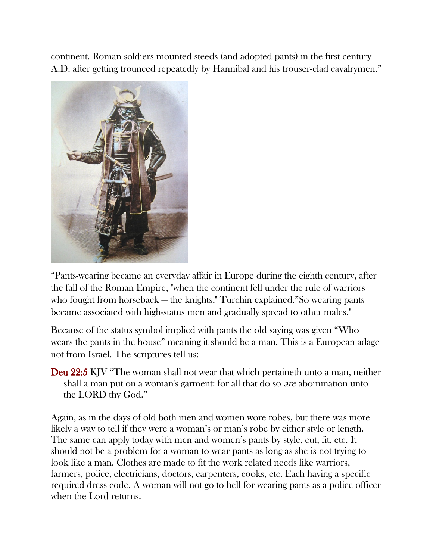continent. Roman soldiers mounted steeds (and adopted pants) in the first century A.D. after getting trounced repeatedly by Hannibal and his trouser-clad cavalrymen."



"Pants-wearing became an everyday affair in Europe during the eighth century, after the fall of the Roman Empire, "when the continent fell under the rule of warriors who fought from horseback — the knights," Turchin explained."So wearing pants became associated with high-status men and gradually spread to other males."

Because of the status symbol implied with pants the old saying was given "Who wears the pants in the house" meaning it should be a man. This is a European adage not from Israel. The scriptures tell us:

Deu 22:5 KJV "The woman shall not wear that which pertaineth unto a man, neither shall a man put on a woman's garment: for all that do so are abomination unto the LORD thy God."

Again, as in the days of old both men and women wore robes, but there was more likely a way to tell if they were a woman's or man's robe by either style or length. The same can apply today with men and women's pants by style, cut, fit, etc. It should not be a problem for a woman to wear pants as long as she is not trying to look like a man. Clothes are made to fit the work related needs like warriors, farmers, police, electricians, doctors, carpenters, cooks, etc. Each having a specific required dress code. A woman will not go to hell for wearing pants as a police officer when the Lord returns.